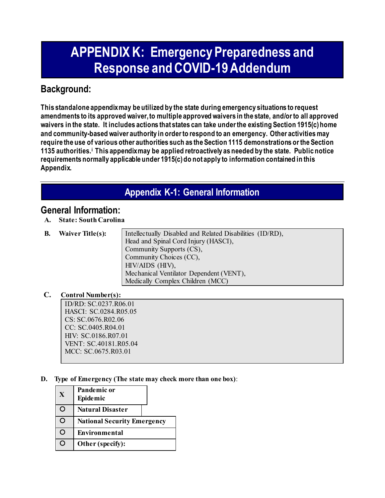# **APPENDIX K: Emergency Preparedness and Response and COVID-19 Addendum**

### **Background:**

**This standalone appendix may be utilized by the state during emergency situations to request amendments to its approved waiver, to multiple approved waivers in the state, and/or to all approved waivers in the state. It includes actions that states can take under the existing Section 1915(c) home and community-based waiver authority in order to respond to an emergency. Other activities may require the use of various other authorities such as the Section 1115 demonstrations or the Section 1135 authorities.[i](#page-12-0) This appendix may be applied retroactively as needed by the state. Public notice requirements normally applicable under 1915(c) do not apply to information contained in this Appendix.**

# **Appendix K-1: General Information**

### **General Information:**

**A. State: South Carolina**

**B. Waiver Title(s):** Intellectually Disabled and Related Disabilities (ID/RD), Head and Spinal Cord Injury (HASCI), Community Supports (CS), Community Choices (CC), HIV/AIDS (HIV), Mechanical Ventilator Dependent (VENT), Medically Complex Children (MCC)

#### **C. Control Number(s):**

ID/RD: SC.0237.R06.01 HASCI: SC.0284.R05.05 CS: SC.0676.R02.06 CC: SC.0405.R04.01 HIV: SC.0186.R07.01 VENT: SC.40181.R05.04 MCC: SC.0675.R03.01

**D. Type of Emergency (The state may check more than one box)**:

| X | Pandemic or<br>Epidemic            |
|---|------------------------------------|
| O | <b>Natural Disaster</b>            |
| ∩ | <b>National Security Emergency</b> |
| ∍ | Environmental                      |
| ۰ | Other (specify):                   |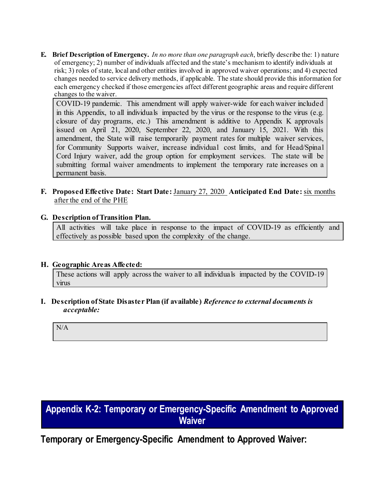**E. Brief Description of Emergency.** *In no more than one paragraph each*, briefly describe the: 1) nature of emergency; 2) number of individuals affected and the state's mechanism to identify individuals at risk; 3) roles of state, local and other entities involved in approved waiver operations; and 4) expected changes needed to service delivery methods, if applicable. The state should provide this information for each emergency checked if those emergencies affect different geographic areas and require different changes to the waiver.

COVID-19 pandemic. This amendment will apply waiver-wide for each waiver included in this Appendix, to all individuals impacted by the virus or the response to the virus (e.g. closure of day programs, etc.) This amendment is additive to Appendix K approvals issued on April 21, 2020, September 22, 2020, and January 15, 2021. With this amendment, the State will raise temporarily payment rates for multiple waiver services, for Community Supports waiver, increase individual cost limits, and for Head/Spinal Cord Injury waiver, add the group option for employment services. The state will be submitting formal waiver amendments to implement the temporary rate increases on a permanent basis.

**F. Proposed Effective Date: Start Date:** January 27, 2020 **Anticipated End Date:** six months after the end of the PHE

#### **G. Description of Transition Plan.**

All activities will take place in response to the impact of COVID-19 as efficiently and effectively as possible based upon the complexity of the change.

#### **H. Geographic Areas Affected:**

These actions will apply across the waiver to all individuals impacted by the COVID-19 virus

**I. Description of State Disaster Plan (if available)** *Reference to external documents is acceptable:*

N/A

# **Appendix K-2: Temporary or Emergency-Specific Amendment to Approved Waiver**

**Temporary or Emergency-Specific Amendment to Approved Waiver:**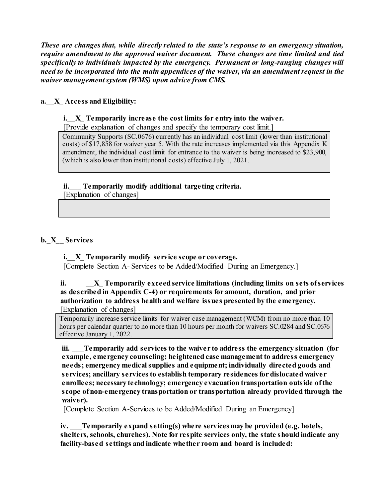*These are changes that, while directly related to the state's response to an emergency situation, require amendment to the approved waiver document. These changes are time limited and tied specifically to individuals impacted by the emergency. Permanent or long-ranging changes will need to be incorporated into the main appendices of the waiver, via an amendment request in the waiver management system (WMS) upon advice from CMS.*

#### **a.\_\_X\_ Access and Eligibility:**

#### **i.\_\_X\_ Temporarily increase the cost limits for entry into the waiver.**

[Provide explanation of changes and specify the temporary cost limit.]

Community Supports (SC.0676) currently has an individual cost limit (lower than institutional costs) of \$17,858 for waiver year 5. With the rate increases implemented via this Appendix K amendment, the individual cost limit for entrance to the waiver is being increased to \$23,900, (which is also lower than institutional costs) effective July 1, 2021.

#### **ii.\_\_\_ Temporarily modify additional targeting criteria.**

[Explanation of changes]

#### **b.\_X\_\_ Services**

#### **i.\_\_X\_ Temporarily modify service scope or coverage.**

[Complete Section A- Services to be Added/Modified During an Emergency.]

#### **ii. \_\_X\_ Temporarily exceed service limitations (including limits on sets of services as described in Appendix C-4) or requirements for amount, duration, and prior authorization to address health and welfare issues presented by the emergency.**  [Explanation of changes]

Temporarily increase service limits for waiver case management (WCM) from no more than 10 hours per calendar quarter to no more than 10 hours per month for waivers SC.0284 and SC.0676 effective January 1, 2022.

**iii. \_\_\_Temporarily add services to the waiver to address the emergency situation (for example, emergency counseling; heightened case management to address emergency needs; emergency medical supplies and equipment; individually directed goods and services; ancillary services to establish temporary residences for dislocated waiver enrollees; necessary technology; emergency evacuation transportation outside of the scope of non-emergency transportation or transportation already provided through the waiver).**

[Complete Section A-Services to be Added/Modified During an Emergency]

**iv.** \_\_\_**Temporarily expand setting(s) where services may be provided (e.g. hotels, shelters, schools, churches). Note for respite services only, the state should indicate any facility-based settings and indicate whether room and board is included:**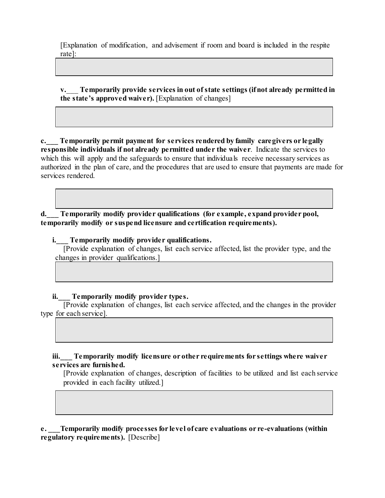[Explanation of modification, and advisement if room and board is included in the respite rate]:

**v.**\_\_\_ **Temporarily provide services in out of state settings (if not already permitted in the state's approved waiver).** [Explanation of changes]

**c.\_\_\_ Temporarily permit payment for services rendered by family caregivers or legally responsible individuals if not already permitted under the waiver**. Indicate the services to which this will apply and the safeguards to ensure that individuals receive necessary services as authorized in the plan of care, and the procedures that are used to ensure that payments are made for services rendered.

**d.\_\_\_ Temporarily modify provider qualifications (for example, expand provider pool, temporarily modify or suspend licensure and certification requirements).**

**i.\_\_\_ Temporarily modify provider qualifications.**

[Provide explanation of changes, list each service affected, list the provider type, and the changes in provider qualifications.

#### **ii.\_\_\_ Temporarily modify provider types.**

[Provide explanation of changes, list each service affected, and the changes in the provider type for each service].

**iii.\_\_\_ Temporarily modify licensure or other requirements for settings where waiver services are furnished.**

[Provide explanation of changes, description of facilities to be utilized and list each service provided in each facility utilized.]

**e. \_\_\_Temporarily modify processes for level of care evaluations or re-evaluations (within regulatory requirements).** [Describe]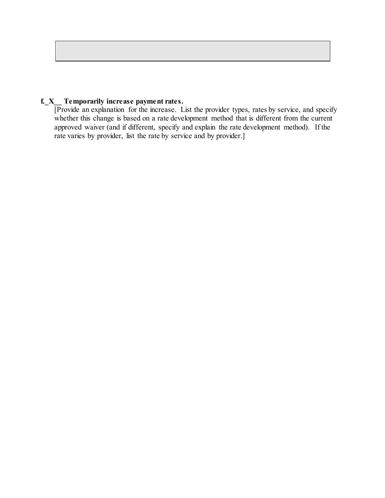#### **f.\_X\_\_ Temporarily increase payment rates.**

[Provide an explanation for the increase. List the provider types, rates by service, and specify whether this change is based on a rate development method that is different from the current approved waiver (and if different, specify and explain the rate development method). If the rate varies by provider, list the rate by service and by provider.]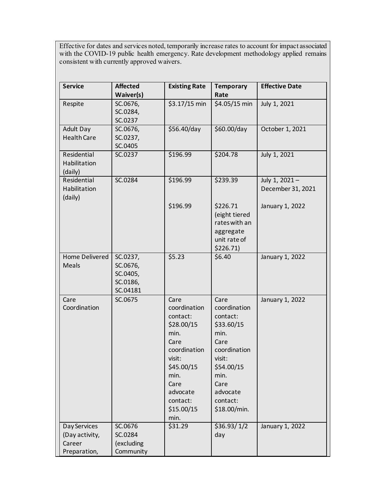Effective for dates and services noted, temporarily increase rates to account for impact associated with the COVID-19 public health emergency. Rate development methodology applied remains consistent with currently approved waivers.

| <b>Service</b>                                           | <b>Affected</b>                                          | <b>Existing Rate</b>                                                                                                                                                 | <b>Temporary</b>                                                                                                                                               | <b>Effective Date</b>              |
|----------------------------------------------------------|----------------------------------------------------------|----------------------------------------------------------------------------------------------------------------------------------------------------------------------|----------------------------------------------------------------------------------------------------------------------------------------------------------------|------------------------------------|
|                                                          | Waiver(s)                                                |                                                                                                                                                                      | Rate                                                                                                                                                           |                                    |
| Respite                                                  | SC.0676,<br>SC.0284,<br>SC.0237                          | \$3.17/15 min                                                                                                                                                        | \$4.05/15 min                                                                                                                                                  | July 1, 2021                       |
| Adult Day<br><b>Health Care</b>                          | SC.0676,<br>SC.0237,<br>SC.0405                          | \$56.40/day                                                                                                                                                          | \$60.00/day                                                                                                                                                    | October 1, 2021                    |
| Residential<br>Habilitation<br>(daily)                   | SC.0237                                                  | \$196.99                                                                                                                                                             | \$204.78                                                                                                                                                       | July 1, 2021                       |
| Residential<br>Habilitation<br>(daily)                   | SC.0284                                                  | \$196.99                                                                                                                                                             | \$239.39                                                                                                                                                       | July 1, 2021-<br>December 31, 2021 |
|                                                          |                                                          | \$196.99                                                                                                                                                             | \$226.71<br>(eight tiered<br>rates with an<br>aggregate<br>unit rate of<br>\$226.71)                                                                           | January 1, 2022                    |
| Home Delivered<br>Meals                                  | SC.0237,<br>SC.0676,<br>SC.0405,<br>SC.0186,<br>SC.04181 | \$5.23                                                                                                                                                               | \$6.40                                                                                                                                                         | January 1, 2022                    |
| Care<br>Coordination                                     | SC.0675                                                  | Care<br>coordination<br>contact:<br>\$28.00/15<br>min.<br>Care<br>coordination<br>visit:<br>\$45.00/15<br>min.<br>Care<br>advocate<br>contact:<br>\$15.00/15<br>min. | Care<br>coordination<br>contact:<br>\$33.60/15<br>min.<br>Care<br>coordination<br>visit:<br>\$54.00/15<br>min.<br>Care<br>advocate<br>contact:<br>\$18.00/min. | January 1, 2022                    |
| Day Services<br>(Day activity,<br>Career<br>Preparation, | SC.0676<br>SC.0284<br>(excluding<br>Community            | \$31.29                                                                                                                                                              | \$36.93/1/2<br>day                                                                                                                                             | January 1, 2022                    |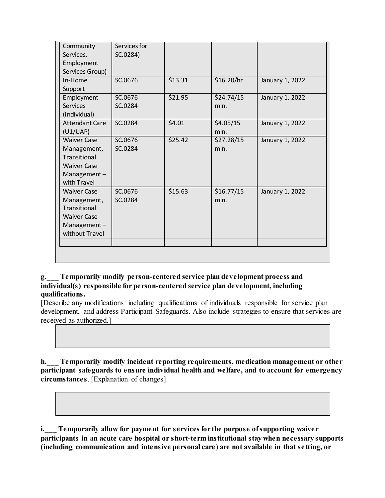| Community             | Services for |         |            |                 |
|-----------------------|--------------|---------|------------|-----------------|
| Services,             | SC.0284)     |         |            |                 |
| Employment            |              |         |            |                 |
| Services Group)       |              |         |            |                 |
| In-Home               | SC.0676      | \$13.31 | \$16.20/hr | January 1, 2022 |
| Support               |              |         |            |                 |
| Employment            | SC.0676      | \$21.95 | \$24.74/15 | January 1, 2022 |
| <b>Services</b>       | SC.0284      |         | min.       |                 |
| (Individual)          |              |         |            |                 |
| <b>Attendant Care</b> | SC.0284      | \$4.01  | \$4.05/15  | January 1, 2022 |
| (U1/UAP)              |              |         | min.       |                 |
| <b>Waiver Case</b>    | SC.0676      | \$25.42 | \$27.28/15 | January 1, 2022 |
| Management,           | SC.0284      |         | min.       |                 |
| Transitional          |              |         |            |                 |
| <b>Waiver Case</b>    |              |         |            |                 |
| Management-           |              |         |            |                 |
| with Travel           |              |         |            |                 |
| <b>Waiver Case</b>    | SC.0676      | \$15.63 | \$16.77/15 | January 1, 2022 |
| Management,           | SC.0284      |         | min.       |                 |
| Transitional          |              |         |            |                 |
| <b>Waiver Case</b>    |              |         |            |                 |
| Management-           |              |         |            |                 |
| without Travel        |              |         |            |                 |
|                       |              |         |            |                 |
|                       |              |         |            |                 |

#### **g.\_\_\_ Temporarily modify person-centered service plan development process and individual(s) responsible for person-centered service plan development, including qualifications.**

[Describe any modifications including qualifications of individuals responsible for service plan development, and address Participant Safeguards. Also include strategies to ensure that services are received as authorized.]

**h.\_\_\_ Temporarily modify incident reporting requirements, medication management or other participant safeguards to ensure individual health and welfare, and to account for emergency circumstances**. [Explanation of changes]

**i.\_\_\_ Temporarily allow for payment for services for the purpose of supporting waiver participants in an acute care hospital or short-term institutional stay when necessary supports (including communication and intensive personal care) are not available in that setting, or**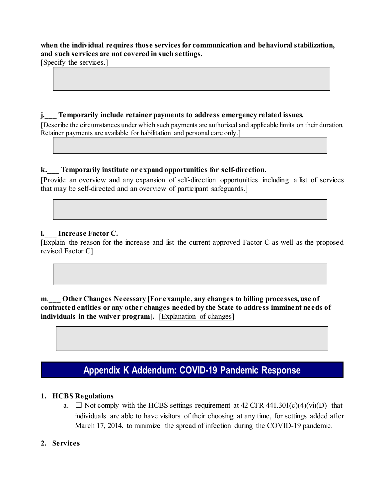#### **when the individual requires those services for communication and behavioral stabilization, and such services are not covered in such settings.**

[Specify the services.]

#### **j.\_\_\_ Temporarily include retainer payments to address emergency related issues.**

[Describe the circumstances under which such payments are authorized and applicable limits on their duration. Retainer payments are available for habilitation and personal care only.]

#### **k.\_\_\_ Temporarily institute or expand opportunities for self-direction.**

[Provide an overview and any expansion of self-direction opportunities including a list of services that may be self-directed and an overview of participant safeguards.]

#### **l.\_\_\_ Increase Factor C.**

[Explain the reason for the increase and list the current approved Factor C as well as the proposed revised Factor C]

**m**.\_\_\_ **Other Changes Necessary [For example, any changes to billing processes, use of contracted entities or any other changes needed by the State to address imminent needs of individuals in the waiver program].** [Explanation of changes]

### **Appendix K Addendum: COVID-19 Pandemic Response**

#### **1. HCBS Regulations**

a.  $\Box$  Not comply with the HCBS settings requirement at 42 CFR 441.301(c)(4)(vi)(D) that individuals are able to have visitors of their choosing at any time, for settings added after March 17, 2014, to minimize the spread of infection during the COVID-19 pandemic.

#### **2. Services**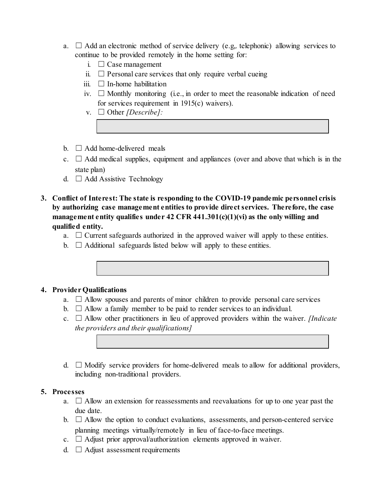- a.  $\Box$  Add an electronic method of service delivery (e.g., telephonic) allowing services to continue to be provided remotely in the home setting for:
	- i.  $\Box$  Case management
	- ii.  $\Box$  Personal care services that only require verbal cueing
	- iii.  $\Box$  In-home habilitation
	- iv.  $\Box$  Monthly monitoring (i.e., in order to meet the reasonable indication of need for services requirement in 1915(c) waivers).
	- v. ☐ Other *[Describe]:*
- $b. \Box$  Add home-delivered meals
- c.  $\Box$  Add medical supplies, equipment and appliances (over and above that which is in the state plan)
- d.  $\Box$  Add Assistive Technology
- **3. Conflict of Interest: The state is responding to the COVID-19 pandemic personnel crisis by authorizing case management entities to provide direct services. Therefore, the case management entity qualifies under 42 CFR 441.301(c)(1)(vi) as the only willing and qualified entity.** 
	- a.  $\Box$  Current safeguards authorized in the approved waiver will apply to these entities.
	- b.  $\Box$  Additional safeguards listed below will apply to these entities.

#### **4. Provider Qualifications**

- a.  $\Box$  Allow spouses and parents of minor children to provide personal care services
- b.  $\Box$  Allow a family member to be paid to render services to an individual.
- c. ☐ Allow other practitioners in lieu of approved providers within the waiver. *[Indicate the providers and their qualifications]*
- d.  $\Box$  Modify service providers for home-delivered meals to allow for additional providers, including non-traditional providers.

#### **5. Processes**

- a.  $\Box$  Allow an extension for reassessments and reevaluations for up to one year past the due date.
- b.  $\Box$  Allow the option to conduct evaluations, assessments, and person-centered service planning meetings virtually/remotely in lieu of face-to-face meetings.
- c.  $\Box$  Adjust prior approval/authorization elements approved in waiver.
- d.  $\Box$  Adjust assessment requirements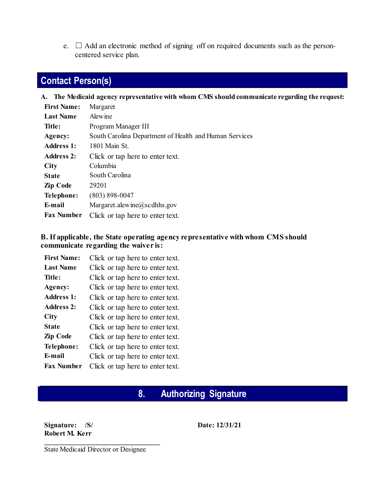e.  $\Box$  Add an electronic method of signing off on required documents such as the personcentered service plan.

# **Contact Person(s)**

**A. The Medicaid agency representative with whom CMS should communicate regarding the request:**

| <b>First Name:</b> | Margaret                                               |
|--------------------|--------------------------------------------------------|
| <b>Last Name</b>   | Alewine                                                |
| Title:             | Program Manager III                                    |
| Agency:            | South Carolina Department of Health and Human Services |
| <b>Address 1:</b>  | 1801 Main St.                                          |
| <b>Address 2:</b>  | Click or tap here to enter text.                       |
| <b>City</b>        | Columbia                                               |
| <b>State</b>       | South Carolina                                         |
| Zip Code           | 29201                                                  |
| Telephone:         | $(803) 898 - 0047$                                     |
| E-mail             | Margaret.alewine@scdhhs.gov                            |
| Fax Number         | Click or tap here to enter text.                       |

#### **B. If applicable, the State operating agency representative with whom CMS should communicate regarding the waiver is:**

| <b>First Name:</b> | Click or tap here to enter text. |
|--------------------|----------------------------------|
| <b>Last Name</b>   | Click or tap here to enter text. |
| Title:             | Click or tap here to enter text. |
| Agency:            | Click or tap here to enter text. |
| <b>Address 1:</b>  | Click or tap here to enter text. |
| <b>Address 2:</b>  | Click or tap here to enter text. |
| <b>City</b>        | Click or tap here to enter text. |
| <b>State</b>       | Click or tap here to enter text. |
| Zip Code           | Click or tap here to enter text. |
| Telephone:         | Click or tap here to enter text. |
| E-mail             | Click or tap here to enter text. |
| <b>Fax Number</b>  | Click or tap here to enter text. |

# **8. Authorizing Signature**

**Signature: /S/ Robert M. Kerr**

**Date: 12/31/21**

State Medicaid Director or Designee

**\_\_\_\_\_\_\_\_\_\_\_\_\_\_\_\_\_\_\_\_\_\_\_\_\_\_\_\_\_\_\_\_\_**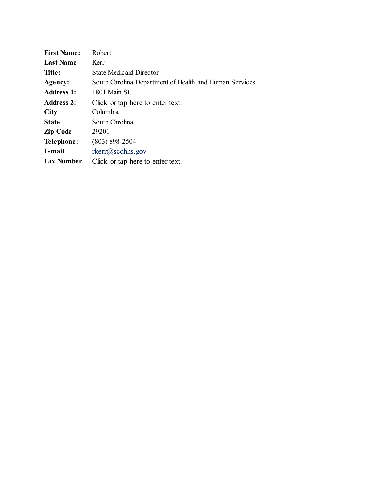| <b>First Name:</b> | Robert                                                 |  |  |  |  |
|--------------------|--------------------------------------------------------|--|--|--|--|
| <b>Last Name</b>   | Kerr                                                   |  |  |  |  |
| Title:             | <b>State Medicaid Director</b>                         |  |  |  |  |
| Agency:            | South Carolina Department of Health and Human Services |  |  |  |  |
| <b>Address 1:</b>  | 1801 Main St.                                          |  |  |  |  |
| <b>Address 2:</b>  | Click or tap here to enter text.                       |  |  |  |  |
| <b>City</b>        | Columbia                                               |  |  |  |  |
| <b>State</b>       | South Carolina                                         |  |  |  |  |
| Zip Code           | 29201                                                  |  |  |  |  |
| Telephone:         | $(803) 898 - 2504$                                     |  |  |  |  |
| E-mail             | $rker(a)$ sedhhs.gov                                   |  |  |  |  |
| <b>Fax Number</b>  | Click or tap here to enter text.                       |  |  |  |  |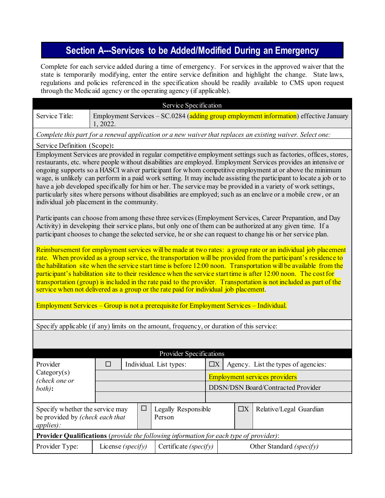# **Section A---Services to be Added/Modified During an Emergency**

Complete for each service added during a time of emergency. For services in the approved waiver that the state is temporarily modifying, enter the entire service definition and highlight the change. State laws, regulations and policies referenced in the specification should be readily available to CMS upon request through the Medicaid agency or the operating agency (if applicable).

|                                                                                                                                                                                                                                                                                                                                                                                                                                                                                                                                                                                                                                                                                                                                                                                   |                                                                                                                                                                                                                                                                                                                                          |                                                                                       | Service Specification   |                                                 |                                           |                                     |  |  |
|-----------------------------------------------------------------------------------------------------------------------------------------------------------------------------------------------------------------------------------------------------------------------------------------------------------------------------------------------------------------------------------------------------------------------------------------------------------------------------------------------------------------------------------------------------------------------------------------------------------------------------------------------------------------------------------------------------------------------------------------------------------------------------------|------------------------------------------------------------------------------------------------------------------------------------------------------------------------------------------------------------------------------------------------------------------------------------------------------------------------------------------|---------------------------------------------------------------------------------------|-------------------------|-------------------------------------------------|-------------------------------------------|-------------------------------------|--|--|
| Service Title:                                                                                                                                                                                                                                                                                                                                                                                                                                                                                                                                                                                                                                                                                                                                                                    | 1, 2022.                                                                                                                                                                                                                                                                                                                                 | Employment Services - SC.0284 (adding group employment information) effective January |                         |                                                 |                                           |                                     |  |  |
| Complete this part for a renewal application or a new waiver that replaces an existing waiver. Select one:                                                                                                                                                                                                                                                                                                                                                                                                                                                                                                                                                                                                                                                                        |                                                                                                                                                                                                                                                                                                                                          |                                                                                       |                         |                                                 |                                           |                                     |  |  |
| Service Definition (Scope):                                                                                                                                                                                                                                                                                                                                                                                                                                                                                                                                                                                                                                                                                                                                                       |                                                                                                                                                                                                                                                                                                                                          |                                                                                       |                         |                                                 |                                           |                                     |  |  |
| Employment Services are provided in regular competitive employment settings such as factories, offices, stores,<br>restaurants, etc. where people without disabilities are employed. Employment Services provides an intensive or<br>ongoing supports so a HASCI waiver participant for whom competitive employment at or above the minimum<br>wage, is unlikely can perform in a paid work setting. It may include assisting the participant to locate a job or to<br>have a job developed specifically for him or her. The service may be provided in a variety of work settings,<br>particularly sites where persons without disabilities are employed; such as an enclave or a mobile crew, or an<br>individual job placement in the community.                               |                                                                                                                                                                                                                                                                                                                                          |                                                                                       |                         |                                                 |                                           |                                     |  |  |
|                                                                                                                                                                                                                                                                                                                                                                                                                                                                                                                                                                                                                                                                                                                                                                                   | Participants can choose from among these three services (Employment Services, Career Preparation, and Day<br>Activity) in developing their service plans, but only one of them can be authorized at any given time. If a<br>participant chooses to change the selected service, he or she can request to change his or her service plan. |                                                                                       |                         |                                                 |                                           |                                     |  |  |
| Reimbursement for employment services will be made at two rates: a group rate or an individual job placement<br>rate. When provided as a group service, the transportation will be provided from the participant's residence to<br>the habilitation site when the service start time is before 12:00 noon. Transportation will be available from the<br>participant's habilitation site to their residence when the service start time is after 12:00 noon. The cost for<br>transportation (group) is included in the rate paid to the provider. Transportation is not included as part of the<br>service when not delivered as a group or the rate paid for individual job placement.<br>Employment Services – Group is not a prerequisite for Employment Services – Individual. |                                                                                                                                                                                                                                                                                                                                          |                                                                                       |                         |                                                 |                                           |                                     |  |  |
| Specify applicable (if any) limits on the amount, frequency, or duration of this service:                                                                                                                                                                                                                                                                                                                                                                                                                                                                                                                                                                                                                                                                                         |                                                                                                                                                                                                                                                                                                                                          |                                                                                       |                         |                                                 |                                           |                                     |  |  |
|                                                                                                                                                                                                                                                                                                                                                                                                                                                                                                                                                                                                                                                                                                                                                                                   |                                                                                                                                                                                                                                                                                                                                          |                                                                                       |                         |                                                 |                                           |                                     |  |  |
|                                                                                                                                                                                                                                                                                                                                                                                                                                                                                                                                                                                                                                                                                                                                                                                   |                                                                                                                                                                                                                                                                                                                                          |                                                                                       | Provider Specifications |                                                 |                                           |                                     |  |  |
| Provider                                                                                                                                                                                                                                                                                                                                                                                                                                                                                                                                                                                                                                                                                                                                                                          | $\Box$<br>Individual. List types:                                                                                                                                                                                                                                                                                                        |                                                                                       |                         | Agency. List the types of agencies:<br>$\Box X$ |                                           |                                     |  |  |
| Category(s)<br>(check one or                                                                                                                                                                                                                                                                                                                                                                                                                                                                                                                                                                                                                                                                                                                                                      |                                                                                                                                                                                                                                                                                                                                          |                                                                                       |                         | <b>Employment services providers</b>            |                                           |                                     |  |  |
| both):                                                                                                                                                                                                                                                                                                                                                                                                                                                                                                                                                                                                                                                                                                                                                                            |                                                                                                                                                                                                                                                                                                                                          |                                                                                       |                         |                                                 | <b>DDSN/DSN Board/Contracted Provider</b> |                                     |  |  |
|                                                                                                                                                                                                                                                                                                                                                                                                                                                                                                                                                                                                                                                                                                                                                                                   |                                                                                                                                                                                                                                                                                                                                          |                                                                                       |                         |                                                 |                                           |                                     |  |  |
| applies):                                                                                                                                                                                                                                                                                                                                                                                                                                                                                                                                                                                                                                                                                                                                                                         | Specify whether the service may<br>$\Box$<br>be provided by (check each that<br>Person                                                                                                                                                                                                                                                   |                                                                                       | Legally Responsible     |                                                 |                                           | Relative/Legal Guardian<br>$\Box X$ |  |  |
| Provider Qualifications (provide the following information for each type of provider):                                                                                                                                                                                                                                                                                                                                                                                                                                                                                                                                                                                                                                                                                            |                                                                                                                                                                                                                                                                                                                                          |                                                                                       |                         |                                                 |                                           |                                     |  |  |
| Provider Type:                                                                                                                                                                                                                                                                                                                                                                                                                                                                                                                                                                                                                                                                                                                                                                    | Certificate (specify)<br>License (specify)                                                                                                                                                                                                                                                                                               |                                                                                       |                         |                                                 | Other Standard (specify)                  |                                     |  |  |